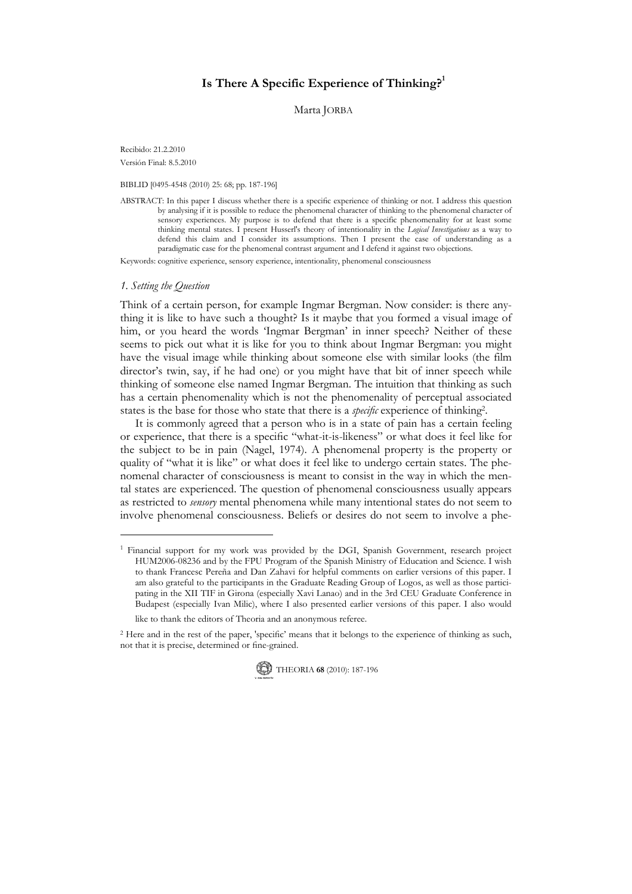# Is There A Specific Experience of Thinking? $1$

Marta JORBA

Recibido: 21.2.2010 Versión Final: 8.5.2010

BIBLID [0495-4548 (2010) 25: 68; pp. 187-196]

ABSTRACT: In this paper I discuss whether there is a specific experience of thinking or not. I address this question by analysing if it is possible to reduce the phenomenal character of thinking to the phenomenal character of sensory experiences. My purpose is to defend that there is a specific phenomenality for at least some thinking mental states. I present Husserl's theory of intentionality in the Logical Investigations as a way to defend this claim and I consider its assumptions. Then I present the case of understanding as a paradigmatic case for the phenomenal contrast argument and I defend it against two objections.

Keywords: cognitive experience, sensory experience, intentionality, phenomenal consciousness

#### 1. Setting the Question

Think of a certain person, for example Ingmar Bergman. Now consider: is there anything it is like to have such a thought? Is it maybe that you formed a visual image of him, or you heard the words 'Ingmar Bergman' in inner speech? Neither of these seems to pick out what it is like for you to think about Ingmar Bergman: you might have the visual image while thinking about someone else with similar looks (the film director's twin, say, if he had one) or you might have that bit of inner speech while thinking of someone else named Ingmar Bergman. The intuition that thinking as such has a certain phenomenality which is not the phenomenality of perceptual associated states is the base for those who state that there is a *specific* experience of thinking<sup>2</sup>.

 It is commonly agreed that a person who is in a state of pain has a certain feeling or experience, that there is a specific "what-it-is-likeness" or what does it feel like for the subject to be in pain (Nagel, 1974). A phenomenal property is the property or quality of "what it is like" or what does it feel like to undergo certain states. The phenomenal character of consciousness is meant to consist in the way in which the mental states are experienced. The question of phenomenal consciousness usually appears as restricted to *sensory* mental phenomena while many intentional states do not seem to involve phenomenal consciousness. Beliefs or desires do not seem to involve a phe-

<sup>2</sup> Here and in the rest of the paper, 'specific' means that it belongs to the experience of thinking as such, not that it is precise, determined or fine-grained.



<sup>&</sup>lt;sup>1</sup> Financial support for my work was provided by the DGI, Spanish Government, research project HUM2006-08236 and by the FPU Program of the Spanish Ministry of Education and Science. I wish to thank Francesc Pereña and Dan Zahavi for helpful comments on earlier versions of this paper. I am also grateful to the participants in the Graduate Reading Group of Logos, as well as those participating in the XII TIF in Girona (especially Xavi Lanao) and in the 3rd CEU Graduate Conference in Budapest (especially Ivan Milic), where I also presented earlier versions of this paper. I also would like to thank the editors of Theoria and an anonymous referee.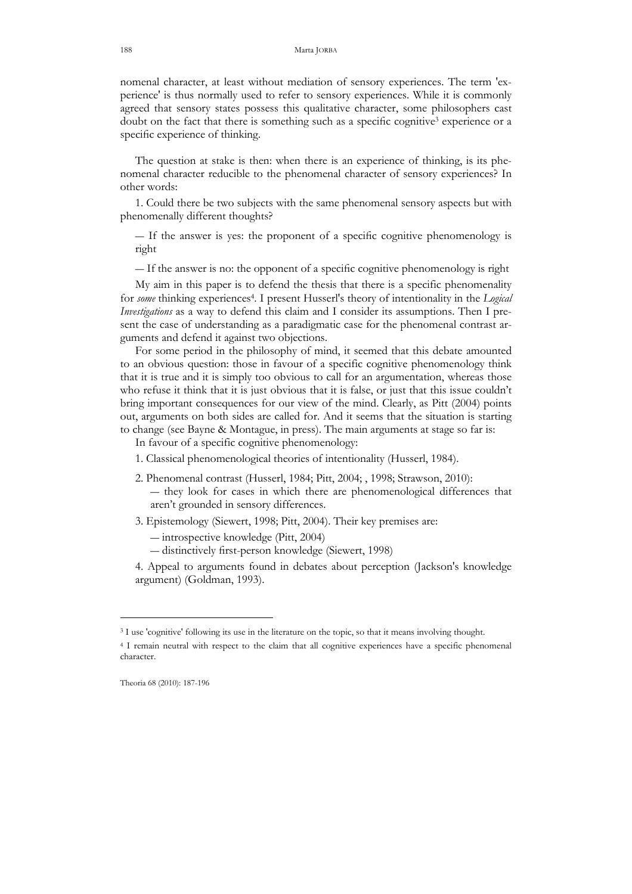nomenal character, at least without mediation of sensory experiences. The term 'experience' is thus normally used to refer to sensory experiences. While it is commonly agreed that sensory states possess this qualitative character, some philosophers cast doubt on the fact that there is something such as a specific cognitive<sup>3</sup> experience or a specific experience of thinking.

 The question at stake is then: when there is an experience of thinking, is its phenomenal character reducible to the phenomenal character of sensory experiences? In other words:

 1. Could there be two subjects with the same phenomenal sensory aspects but with phenomenally different thoughts?

― If the answer is yes: the proponent of a specific cognitive phenomenology is right

― If the answer is no: the opponent of a specific cognitive phenomenology is right

 My aim in this paper is to defend the thesis that there is a specific phenomenality for some thinking experiences<sup>4</sup>. I present Husserl's theory of intentionality in the Logical Investigations as a way to defend this claim and I consider its assumptions. Then I present the case of understanding as a paradigmatic case for the phenomenal contrast arguments and defend it against two objections.

 For some period in the philosophy of mind, it seemed that this debate amounted to an obvious question: those in favour of a specific cognitive phenomenology think that it is true and it is simply too obvious to call for an argumentation, whereas those who refuse it think that it is just obvious that it is false, or just that this issue couldn't bring important consequences for our view of the mind. Clearly, as Pitt (2004) points out, arguments on both sides are called for. And it seems that the situation is starting to change (see Bayne & Montague, in press). The main arguments at stage so far is:

In favour of a specific cognitive phenomenology:

- 1. Classical phenomenological theories of intentionality (Husserl, 1984).
- 2. Phenomenal contrast (Husserl, 1984; Pitt, 2004; , 1998; Strawson, 2010): ― they look for cases in which there are phenomenological differences that aren't grounded in sensory differences.
- 3. Epistemology (Siewert, 1998; Pitt, 2004). Their key premises are:
	- ― introspective knowledge (Pitt, 2004)
	- ― distinctively first-person knowledge (Siewert, 1998)

4. Appeal to arguments found in debates about perception (Jackson's knowledge argument) (Goldman, 1993).

<sup>&</sup>lt;sup>3</sup> I use 'cognitive' following its use in the literature on the topic, so that it means involving thought.

<sup>4</sup> I remain neutral with respect to the claim that all cognitive experiences have a specific phenomenal character.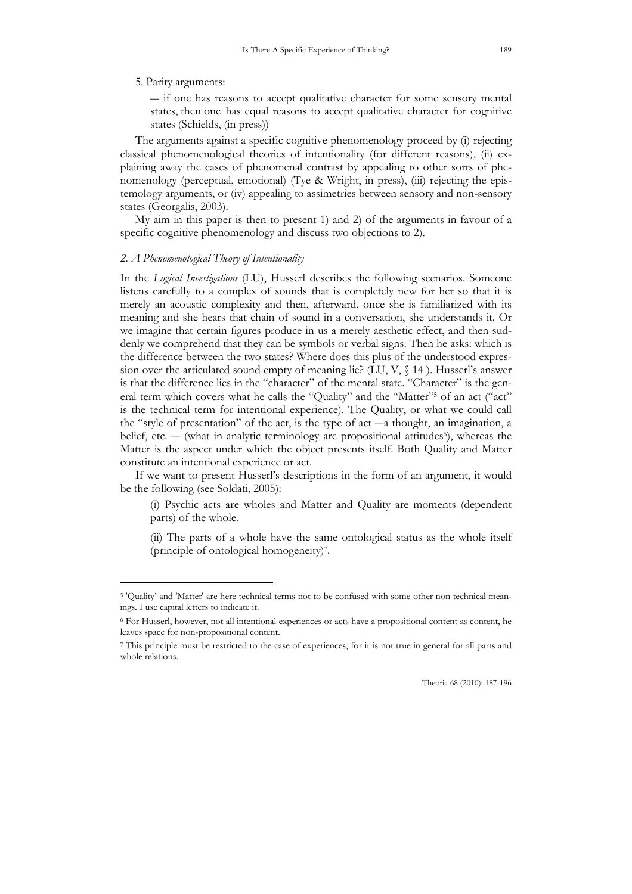#### 5. Parity arguments:

― if one has reasons to accept qualitative character for some sensory mental states, then one has equal reasons to accept qualitative character for cognitive states (Schields, (in press))

 The arguments against a specific cognitive phenomenology proceed by (i) rejecting classical phenomenological theories of intentionality (for different reasons), (ii) explaining away the cases of phenomenal contrast by appealing to other sorts of phenomenology (perceptual, emotional) (Tye & Wright, in press), (iii) rejecting the epistemology arguments, or (iv) appealing to assimetries between sensory and non-sensory states (Georgalis, 2003).

 My aim in this paper is then to present 1) and 2) of the arguments in favour of a specific cognitive phenomenology and discuss two objections to 2).

#### 2. A Phenomenological Theory of Intentionality

-

In the *Logical Investigations* (LU), Husserl describes the following scenarios. Someone listens carefully to a complex of sounds that is completely new for her so that it is merely an acoustic complexity and then, afterward, once she is familiarized with its meaning and she hears that chain of sound in a conversation, she understands it. Or we imagine that certain figures produce in us a merely aesthetic effect, and then suddenly we comprehend that they can be symbols or verbal signs. Then he asks: which is the difference between the two states? Where does this plus of the understood expression over the articulated sound empty of meaning lie? (LU,  $V$ ,  $\$  14). Husserl's answer is that the difference lies in the "character" of the mental state. "Character" is the general term which covers what he calls the "Quality" and the "Matter"<sup>5</sup> of an act ("act" is the technical term for intentional experience). The Quality, or what we could call the "style of presentation" of the act, is the type of act ―a thought, an imagination, a belief, etc.  $-$  (what in analytic terminology are propositional attitudes<sup>6</sup>), whereas the Matter is the aspect under which the object presents itself. Both Quality and Matter constitute an intentional experience or act.

 If we want to present Husserl's descriptions in the form of an argument, it would be the following (see Soldati, 2005):

(i) Psychic acts are wholes and Matter and Quality are moments (dependent parts) of the whole.

(ii) The parts of a whole have the same ontological status as the whole itself (principle of ontological homogeneity)<sup>7</sup> .

<sup>5</sup> 'Quality' and 'Matter' are here technical terms not to be confused with some other non technical meanings. I use capital letters to indicate it.

<sup>6</sup> For Husserl, however, not all intentional experiences or acts have a propositional content as content, he leaves space for non-propositional content.

<sup>7</sup> This principle must be restricted to the case of experiences, for it is not true in general for all parts and whole relations.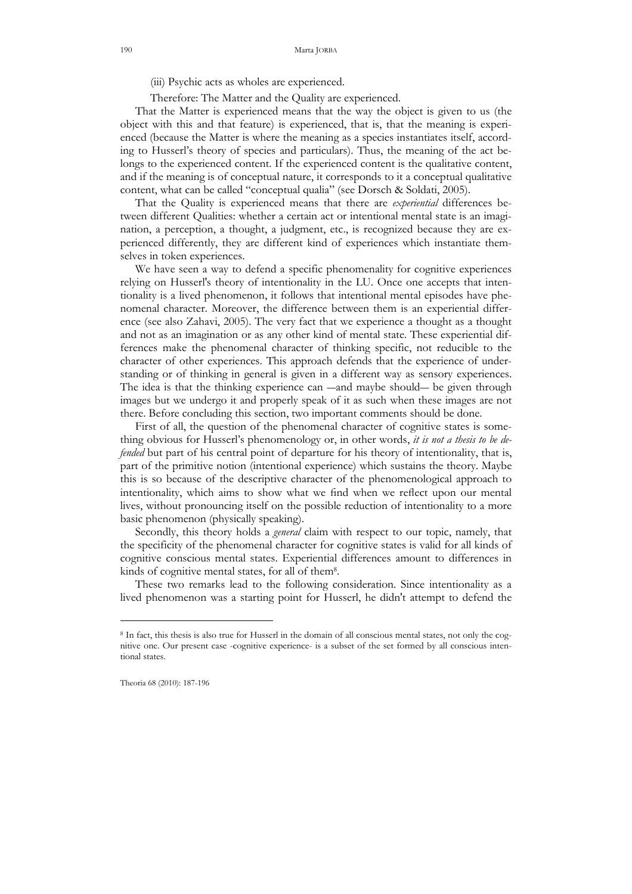(iii) Psychic acts as wholes are experienced.

Therefore: The Matter and the Quality are experienced.

 That the Matter is experienced means that the way the object is given to us (the object with this and that feature) is experienced, that is, that the meaning is experienced (because the Matter is where the meaning as a species instantiates itself, according to Husserl's theory of species and particulars). Thus, the meaning of the act belongs to the experienced content. If the experienced content is the qualitative content, and if the meaning is of conceptual nature, it corresponds to it a conceptual qualitative content, what can be called "conceptual qualia" (see Dorsch & Soldati, 2005).

That the Quality is experienced means that there are *experiential* differences between different Qualities: whether a certain act or intentional mental state is an imagination, a perception, a thought, a judgment, etc., is recognized because they are experienced differently, they are different kind of experiences which instantiate themselves in token experiences.

 We have seen a way to defend a specific phenomenality for cognitive experiences relying on Husserl's theory of intentionality in the LU. Once one accepts that intentionality is a lived phenomenon, it follows that intentional mental episodes have phenomenal character. Moreover, the difference between them is an experiential difference (see also Zahavi, 2005). The very fact that we experience a thought as a thought and not as an imagination or as any other kind of mental state. These experiential differences make the phenomenal character of thinking specific, not reducible to the character of other experiences. This approach defends that the experience of understanding or of thinking in general is given in a different way as sensory experiences. The idea is that the thinking experience can —and maybe should— be given through images but we undergo it and properly speak of it as such when these images are not there. Before concluding this section, two important comments should be done.

 First of all, the question of the phenomenal character of cognitive states is something obvious for Husserl's phenomenology or, in other words, it is not a thesis to be defended but part of his central point of departure for his theory of intentionality, that is, part of the primitive notion (intentional experience) which sustains the theory. Maybe this is so because of the descriptive character of the phenomenological approach to intentionality, which aims to show what we find when we reflect upon our mental lives, without pronouncing itself on the possible reduction of intentionality to a more basic phenomenon (physically speaking).

Secondly, this theory holds a *general* claim with respect to our topic, namely, that the specificity of the phenomenal character for cognitive states is valid for all kinds of cognitive conscious mental states. Experiential differences amount to differences in kinds of cognitive mental states, for all of them<sup>8</sup> .

 These two remarks lead to the following consideration. Since intentionality as a lived phenomenon was a starting point for Husserl, he didn't attempt to defend the

<sup>8</sup> In fact, this thesis is also true for Husserl in the domain of all conscious mental states, not only the cognitive one. Our present case -cognitive experience- is a subset of the set formed by all conscious intentional states.

Theoria 68 (2010): 187-196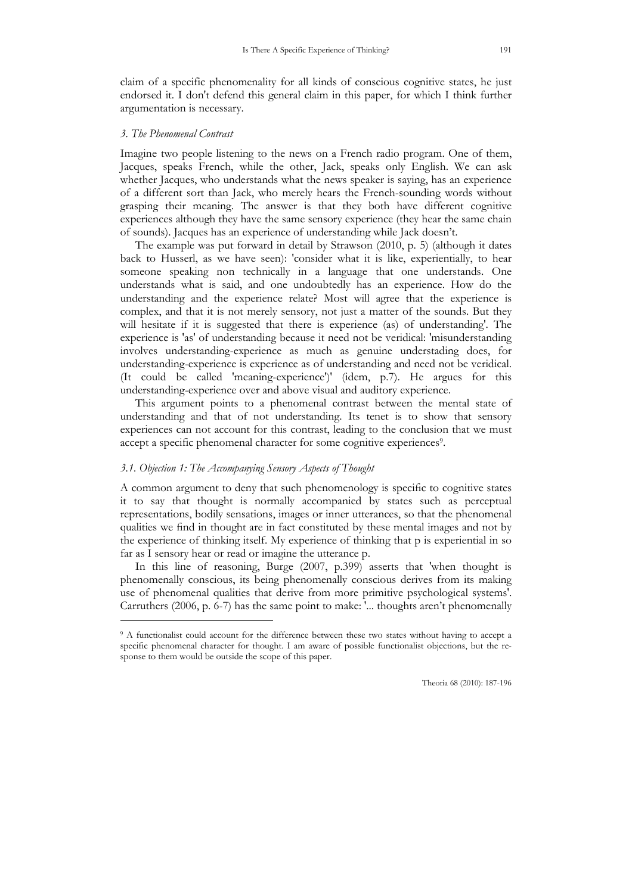claim of a specific phenomenality for all kinds of conscious cognitive states, he just endorsed it. I don't defend this general claim in this paper, for which I think further argumentation is necessary.

# 3. The Phenomenal Contrast

-

Imagine two people listening to the news on a French radio program. One of them, Jacques, speaks French, while the other, Jack, speaks only English. We can ask whether Jacques, who understands what the news speaker is saying, has an experience of a different sort than Jack, who merely hears the French-sounding words without grasping their meaning. The answer is that they both have different cognitive experiences although they have the same sensory experience (they hear the same chain of sounds). Jacques has an experience of understanding while Jack doesn't.

 The example was put forward in detail by Strawson (2010, p. 5) (although it dates back to Husserl, as we have seen): 'consider what it is like, experientially, to hear someone speaking non technically in a language that one understands. One understands what is said, and one undoubtedly has an experience. How do the understanding and the experience relate? Most will agree that the experience is complex, and that it is not merely sensory, not just a matter of the sounds. But they will hesitate if it is suggested that there is experience (as) of understanding'. The experience is 'as' of understanding because it need not be veridical: 'misunderstanding involves understanding-experience as much as genuine understading does, for understanding-experience is experience as of understanding and need not be veridical. (It could be called 'meaning-experience')' (idem, p.7). He argues for this understanding-experience over and above visual and auditory experience.

 This argument points to a phenomenal contrast between the mental state of understanding and that of not understanding. Its tenet is to show that sensory experiences can not account for this contrast, leading to the conclusion that we must accept a specific phenomenal character for some cognitive experiences<sup>9</sup>.

### 3.1. Objection 1: The Accompanying Sensory Aspects of Thought

A common argument to deny that such phenomenology is specific to cognitive states it to say that thought is normally accompanied by states such as perceptual representations, bodily sensations, images or inner utterances, so that the phenomenal qualities we find in thought are in fact constituted by these mental images and not by the experience of thinking itself. My experience of thinking that p is experiential in so far as I sensory hear or read or imagine the utterance p.

 In this line of reasoning, Burge (2007, p.399) asserts that 'when thought is phenomenally conscious, its being phenomenally conscious derives from its making use of phenomenal qualities that derive from more primitive psychological systems'. Carruthers (2006, p. 6-7) has the same point to make: '... thoughts aren't phenomenally

<sup>&</sup>lt;sup>9</sup> A functionalist could account for the difference between these two states without having to accept a specific phenomenal character for thought. I am aware of possible functionalist objections, but the response to them would be outside the scope of this paper.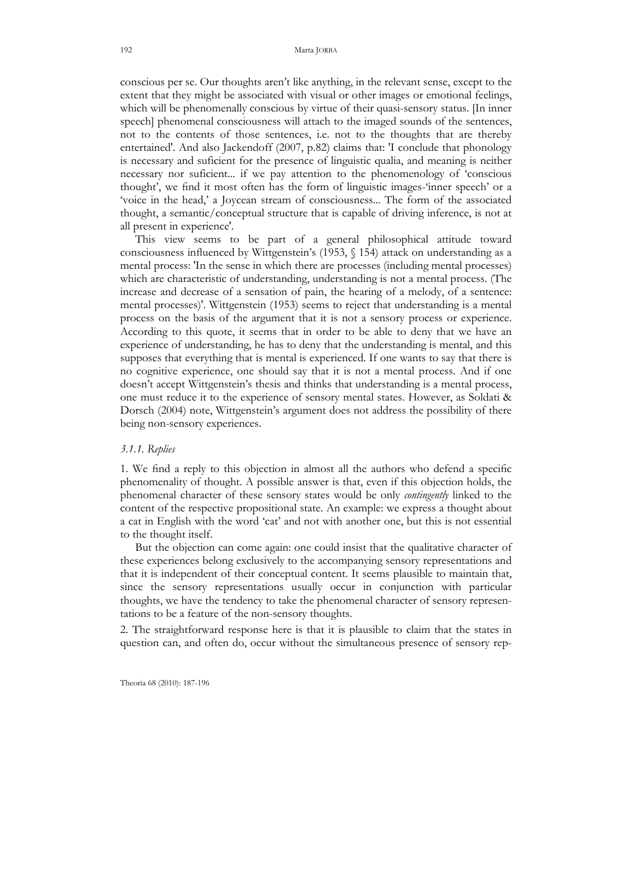conscious per se. Our thoughts aren't like anything, in the relevant sense, except to the extent that they might be associated with visual or other images or emotional feelings, which will be phenomenally conscious by virtue of their quasi-sensory status. [In inner speech] phenomenal consciousness will attach to the imaged sounds of the sentences, not to the contents of those sentences, i.e. not to the thoughts that are thereby entertained'. And also Jackendoff (2007, p.82) claims that: 'I conclude that phonology is necessary and suficient for the presence of linguistic qualia, and meaning is neither necessary nor suficient... if we pay attention to the phenomenology of 'conscious thought', we find it most often has the form of linguistic images-'inner speech' or a 'voice in the head,' a Joycean stream of consciousness... The form of the associated thought, a semantic/conceptual structure that is capable of driving inference, is not at all present in experience'.

 This view seems to be part of a general philosophical attitude toward consciousness influenced by Wittgenstein's (1953, § 154) attack on understanding as a mental process: 'In the sense in which there are processes (including mental processes) which are characteristic of understanding, understanding is not a mental process. (The increase and decrease of a sensation of pain, the hearing of a melody, of a sentence: mental processes)'. Wittgenstein (1953) seems to reject that understanding is a mental process on the basis of the argument that it is not a sensory process or experience. According to this quote, it seems that in order to be able to deny that we have an experience of understanding, he has to deny that the understanding is mental, and this supposes that everything that is mental is experienced. If one wants to say that there is no cognitive experience, one should say that it is not a mental process. And if one doesn't accept Wittgenstein's thesis and thinks that understanding is a mental process, one must reduce it to the experience of sensory mental states. However, as Soldati & Dorsch (2004) note, Wittgenstein's argument does not address the possibility of there being non-sensory experiences.

## 3.1.1. Replies

1. We find a reply to this objection in almost all the authors who defend a specific phenomenality of thought. A possible answer is that, even if this objection holds, the phenomenal character of these sensory states would be only *contingently* linked to the content of the respective propositional state. An example: we express a thought about a cat in English with the word 'cat' and not with another one, but this is not essential to the thought itself.

 But the objection can come again: one could insist that the qualitative character of these experiences belong exclusively to the accompanying sensory representations and that it is independent of their conceptual content. It seems plausible to maintain that, since the sensory representations usually occur in conjunction with particular thoughts, we have the tendency to take the phenomenal character of sensory representations to be a feature of the non-sensory thoughts.

2. The straightforward response here is that it is plausible to claim that the states in question can, and often do, occur without the simultaneous presence of sensory rep-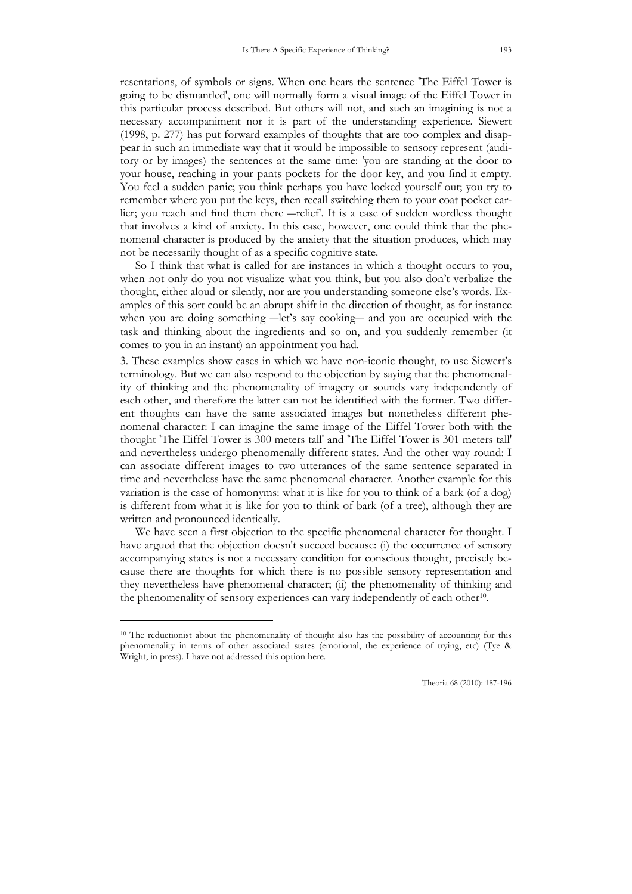resentations, of symbols or signs. When one hears the sentence 'The Eiffel Tower is going to be dismantled', one will normally form a visual image of the Eiffel Tower in this particular process described. But others will not, and such an imagining is not a necessary accompaniment nor it is part of the understanding experience. Siewert (1998, p. 277) has put forward examples of thoughts that are too complex and disappear in such an immediate way that it would be impossible to sensory represent (auditory or by images) the sentences at the same time: 'you are standing at the door to your house, reaching in your pants pockets for the door key, and you find it empty. You feel a sudden panic; you think perhaps you have locked yourself out; you try to remember where you put the keys, then recall switching them to your coat pocket earlier; you reach and find them there ―relief'. It is a case of sudden wordless thought that involves a kind of anxiety. In this case, however, one could think that the phe-

 So I think that what is called for are instances in which a thought occurs to you, when not only do you not visualize what you think, but you also don't verbalize the thought, either aloud or silently, nor are you understanding someone else's words. Examples of this sort could be an abrupt shift in the direction of thought, as for instance when you are doing something —let's say cooking— and you are occupied with the task and thinking about the ingredients and so on, and you suddenly remember (it comes to you in an instant) an appointment you had.

nomenal character is produced by the anxiety that the situation produces, which may

not be necessarily thought of as a specific cognitive state.

3. These examples show cases in which we have non-iconic thought, to use Siewert's terminology. But we can also respond to the objection by saying that the phenomenality of thinking and the phenomenality of imagery or sounds vary independently of each other, and therefore the latter can not be identified with the former. Two different thoughts can have the same associated images but nonetheless different phenomenal character: I can imagine the same image of the Eiffel Tower both with the thought 'The Eiffel Tower is 300 meters tall' and 'The Eiffel Tower is 301 meters tall' and nevertheless undergo phenomenally different states. And the other way round: I can associate different images to two utterances of the same sentence separated in time and nevertheless have the same phenomenal character. Another example for this variation is the case of homonyms: what it is like for you to think of a bark (of a dog) is different from what it is like for you to think of bark (of a tree), although they are written and pronounced identically.

 We have seen a first objection to the specific phenomenal character for thought. I have argued that the objection doesn't succeed because: (i) the occurrence of sensory accompanying states is not a necessary condition for conscious thought, precisely because there are thoughts for which there is no possible sensory representation and they nevertheless have phenomenal character; (ii) the phenomenality of thinking and the phenomenality of sensory experiences can vary independently of each other<sup>10</sup>.

<sup>&</sup>lt;sup>10</sup> The reductionist about the phenomenality of thought also has the possibility of accounting for this phenomenality in terms of other associated states (emotional, the experience of trying, etc) (Tye & Wright, in press). I have not addressed this option here.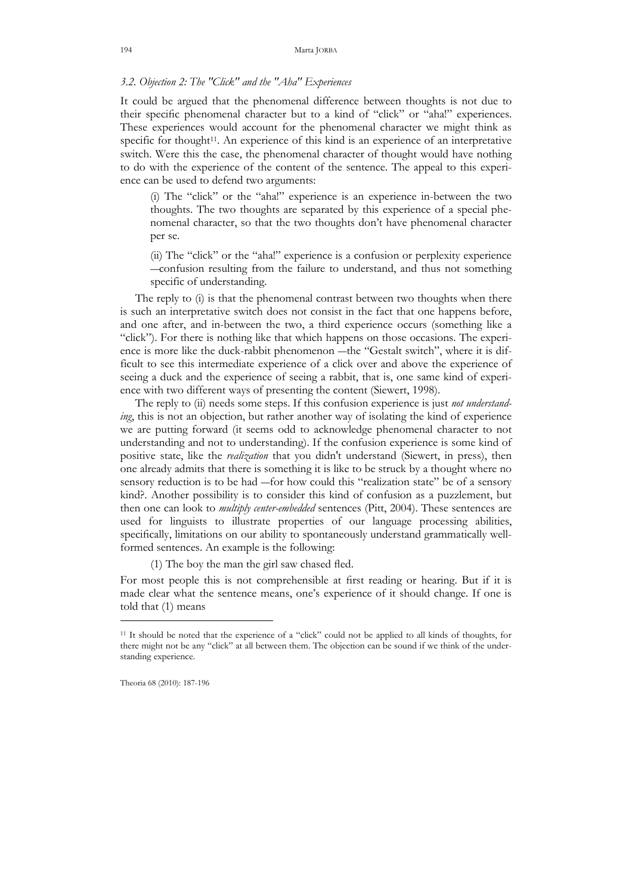# 3.2. Objection 2: The "Click" and the "Aha" Experiences

It could be argued that the phenomenal difference between thoughts is not due to their specific phenomenal character but to a kind of "click" or "aha!" experiences. These experiences would account for the phenomenal character we might think as specific for thought<sup>11</sup>. An experience of this kind is an experience of an interpretative switch. Were this the case, the phenomenal character of thought would have nothing to do with the experience of the content of the sentence. The appeal to this experience can be used to defend two arguments:

(i) The "click" or the "aha!" experience is an experience in-between the two thoughts. The two thoughts are separated by this experience of a special phenomenal character, so that the two thoughts don't have phenomenal character per se.

(ii) The "click" or the "aha!" experience is a confusion or perplexity experience ―confusion resulting from the failure to understand, and thus not something specific of understanding.

The reply to (i) is that the phenomenal contrast between two thoughts when there is such an interpretative switch does not consist in the fact that one happens before, and one after, and in-between the two, a third experience occurs (something like a "click"). For there is nothing like that which happens on those occasions. The experience is more like the duck-rabbit phenomenon ―the "Gestalt switch", where it is difficult to see this intermediate experience of a click over and above the experience of seeing a duck and the experience of seeing a rabbit, that is, one same kind of experience with two different ways of presenting the content (Siewert, 1998).

The reply to (ii) needs some steps. If this confusion experience is just not understanding, this is not an objection, but rather another way of isolating the kind of experience we are putting forward (it seems odd to acknowledge phenomenal character to not understanding and not to understanding). If the confusion experience is some kind of positive state, like the *realization* that you didn't understand (Siewert, in press), then one already admits that there is something it is like to be struck by a thought where no sensory reduction is to be had ―for how could this "realization state" be of a sensory kind?. Another possibility is to consider this kind of confusion as a puzzlement, but then one can look to *multiply center-embedded* sentences (Pitt, 2004). These sentences are used for linguists to illustrate properties of our language processing abilities, specifically, limitations on our ability to spontaneously understand grammatically wellformed sentences. An example is the following:

(1) The boy the man the girl saw chased fled.

For most people this is not comprehensible at first reading or hearing. But if it is made clear what the sentence means, one's experience of it should change. If one is told that (1) means

<sup>11</sup> It should be noted that the experience of a "click" could not be applied to all kinds of thoughts, for there might not be any "click" at all between them. The objection can be sound if we think of the understanding experience.

Theoria 68 (2010): 187-196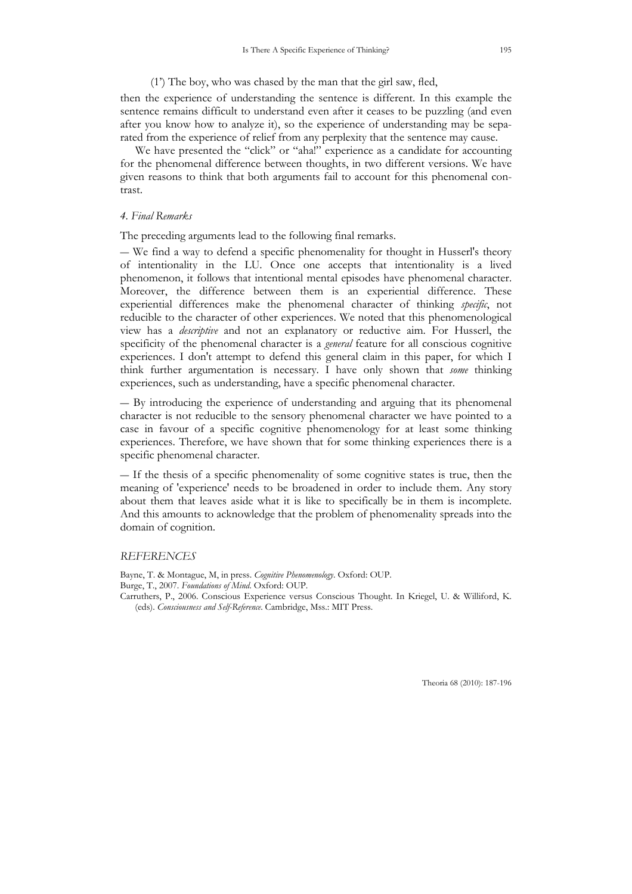### (1') The boy, who was chased by the man that the girl saw, fled,

then the experience of understanding the sentence is different. In this example the sentence remains difficult to understand even after it ceases to be puzzling (and even after you know how to analyze it), so the experience of understanding may be separated from the experience of relief from any perplexity that the sentence may cause.

 We have presented the "click" or "aha!" experience as a candidate for accounting for the phenomenal difference between thoughts, in two different versions. We have given reasons to think that both arguments fail to account for this phenomenal contrast.

# 4. Final Remarks

The preceding arguments lead to the following final remarks.

― We find a way to defend a specific phenomenality for thought in Husserl's theory of intentionality in the LU. Once one accepts that intentionality is a lived phenomenon, it follows that intentional mental episodes have phenomenal character. Moreover, the difference between them is an experiential difference. These experiential differences make the phenomenal character of thinking specific, not reducible to the character of other experiences. We noted that this phenomenological view has a descriptive and not an explanatory or reductive aim. For Husserl, the specificity of the phenomenal character is a *general* feature for all conscious cognitive experiences. I don't attempt to defend this general claim in this paper, for which I think further argumentation is necessary. I have only shown that some thinking experiences, such as understanding, have a specific phenomenal character.

― By introducing the experience of understanding and arguing that its phenomenal character is not reducible to the sensory phenomenal character we have pointed to a case in favour of a specific cognitive phenomenology for at least some thinking experiences. Therefore, we have shown that for some thinking experiences there is a specific phenomenal character.

― If the thesis of a specific phenomenality of some cognitive states is true, then the meaning of 'experience' needs to be broadened in order to include them. Any story about them that leaves aside what it is like to specifically be in them is incomplete. And this amounts to acknowledge that the problem of phenomenality spreads into the domain of cognition.

#### **REFERENCES**

Bayne, T. & Montague, M, in press. Cognitive Phenomenology. Oxford: OUP. Burge, T., 2007. Foundations of Mind. Oxford: OUP. Carruthers, P., 2006. Conscious Experience versus Conscious Thought. In Kriegel, U. & Williford, K. (eds). Consciousness and Self-Reference. Cambridge, Mss.: MIT Press.